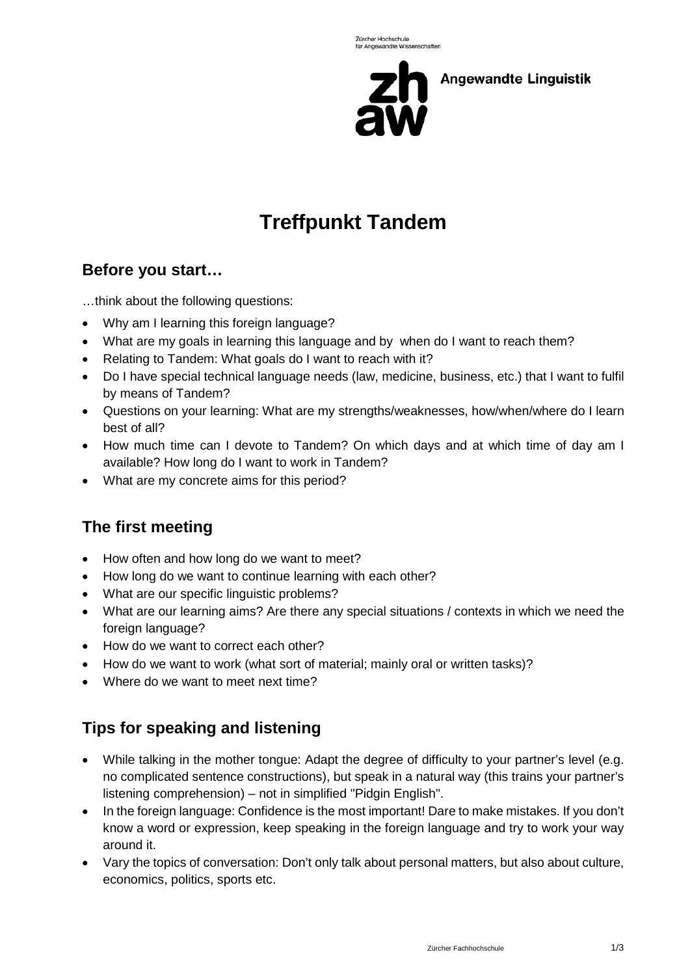

**Angewandte Linguistik** 

# **Treffpunkt Tandem**

# **Before you start…**

…think about the following questions:

- Why am I learning this foreign language?
- What are my goals in learning this language and by when do I want to reach them?
- Relating to Tandem: What goals do I want to reach with it?
- Do I have special technical language needs (law, medicine, business, etc.) that I want to fulfil by means of Tandem?
- Questions on your learning: What are my strengths/weaknesses, how/when/where do I learn best of all?
- How much time can I devote to Tandem? On which days and at which time of day am I available? How long do I want to work in Tandem?
- What are my concrete aims for this period?

# **The first meeting**

- How often and how long do we want to meet?
- How long do we want to continue learning with each other?
- What are our specific linguistic problems?
- What are our learning aims? Are there any special situations / contexts in which we need the foreign language?
- How do we want to correct each other?
- How do we want to work (what sort of material; mainly oral or written tasks)?
- Where do we want to meet next time?

# **Tips for speaking and listening**

- While talking in the mother tongue: Adapt the degree of difficulty to your partner's level (e.g. no complicated sentence constructions), but speak in a natural way (this trains your partner's listening comprehension) – not in simplified "Pidgin English".
- In the foreign language: Confidence is the most important! Dare to make mistakes. If you don't know a word or expression, keep speaking in the foreign language and try to work your way around it.
- Vary the topics of conversation: Don't only talk about personal matters, but also about culture, economics, politics, sports etc.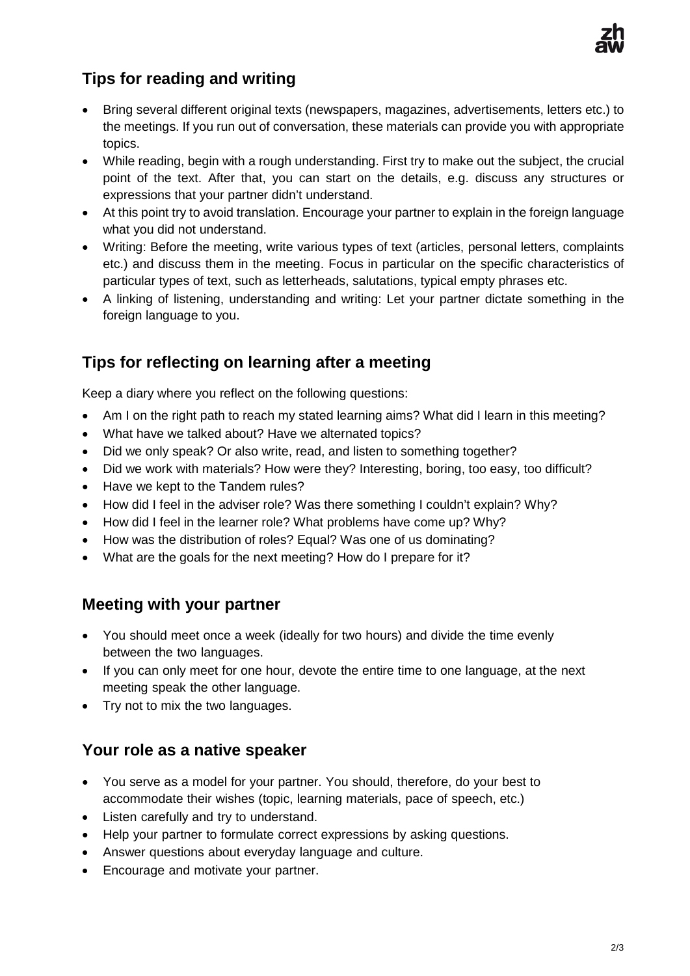

# **Tips for reading and writing**

- Bring several different original texts (newspapers, magazines, advertisements, letters etc.) to the meetings. If you run out of conversation, these materials can provide you with appropriate topics.
- While reading, begin with a rough understanding. First try to make out the subject, the crucial point of the text. After that, you can start on the details, e.g. discuss any structures or expressions that your partner didn't understand.
- At this point try to avoid translation. Encourage your partner to explain in the foreign language what you did not understand.
- Writing: Before the meeting, write various types of text (articles, personal letters, complaints etc.) and discuss them in the meeting. Focus in particular on the specific characteristics of particular types of text, such as letterheads, salutations, typical empty phrases etc.
- A linking of listening, understanding and writing: Let your partner dictate something in the foreign language to you.

# **Tips for reflecting on learning after a meeting**

Keep a diary where you reflect on the following questions:

- Am I on the right path to reach my stated learning aims? What did I learn in this meeting?
- What have we talked about? Have we alternated topics?
- Did we only speak? Or also write, read, and listen to something together?
- Did we work with materials? How were they? Interesting, boring, too easy, too difficult?
- Have we kept to the Tandem rules?
- How did I feel in the adviser role? Was there something I couldn't explain? Why?
- How did I feel in the learner role? What problems have come up? Why?
- How was the distribution of roles? Equal? Was one of us dominating?
- What are the goals for the next meeting? How do I prepare for it?

# **Meeting with your partner**

- You should meet once a week (ideally for two hours) and divide the time evenly between the two languages.
- If you can only meet for one hour, devote the entire time to one language, at the next meeting speak the other language.
- Try not to mix the two languages.

#### **Your role as a native speaker**

- You serve as a model for your partner. You should, therefore, do your best to accommodate their wishes (topic, learning materials, pace of speech, etc.)
- Listen carefully and try to understand.
- Help your partner to formulate correct expressions by asking questions.
- Answer questions about everyday language and culture.
- Encourage and motivate your partner.